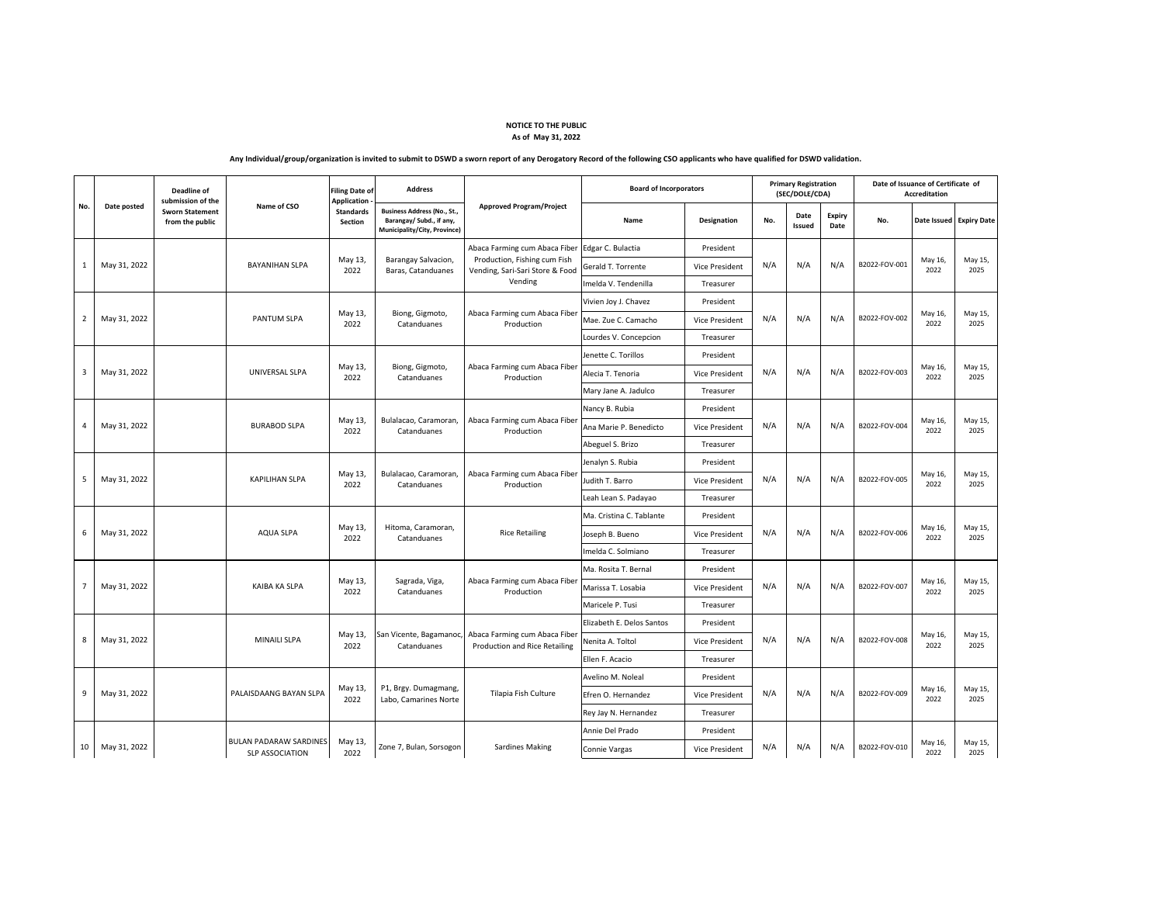| No.            | Date posted  | <b>Deadline of</b><br>submission of the<br><b>Sworn Statement</b><br>from the public | Name of CSO                                             | <b>Filing Date of</b><br><b>Application</b><br><b>Standards</b><br><b>Section</b> | <b>Address</b>                                                                                 | <b>Approved Program/Project</b>                                                                             | <b>Board of Incorporators</b> |                    | <b>Primary Registration</b><br>(SEC/DOLE/CDA) |                       |                              | Date of Issuance of Certificate of<br><b>Accreditation</b> |                 |                           |
|----------------|--------------|--------------------------------------------------------------------------------------|---------------------------------------------------------|-----------------------------------------------------------------------------------|------------------------------------------------------------------------------------------------|-------------------------------------------------------------------------------------------------------------|-------------------------------|--------------------|-----------------------------------------------|-----------------------|------------------------------|------------------------------------------------------------|-----------------|---------------------------|
|                |              |                                                                                      |                                                         |                                                                                   | <b>Business Address (No., St.,</b><br>Barangay/ Subd., if any,<br>Municipality/City, Province) |                                                                                                             | Name                          | <b>Designation</b> | No.                                           | Date<br><b>Issued</b> | <b>Expiry</b><br><b>Date</b> | No.                                                        |                 | Date Issued   Expiry Date |
| $\mathbf{1}$   | May 31, 2022 |                                                                                      | <b>BAYANIHAN SLPA</b>                                   | May 13,<br>2022                                                                   | Barangay Salvacion,<br>Baras, Catanduanes                                                      | Abaca Farming cum Abaca Fiber<br>Production, Fishing cum Fish<br>Vending, Sari-Sari Store & Food<br>Vending | Edgar C. Bulactia             | President          | N/A                                           |                       |                              | B2022-FOV-001                                              | May 16,<br>2022 | May 15,<br>2025           |
|                |              |                                                                                      |                                                         |                                                                                   |                                                                                                |                                                                                                             | Gerald T. Torrente            | Vice President     |                                               | N/A                   | N/A                          |                                                            |                 |                           |
|                |              |                                                                                      |                                                         |                                                                                   |                                                                                                |                                                                                                             | Imelda V. Tendenilla          | Treasurer          |                                               |                       |                              |                                                            |                 |                           |
| $\overline{2}$ | May 31, 2022 |                                                                                      | <b>PANTUM SLPA</b>                                      | May 13,<br>2022                                                                   | Biong, Gigmoto,<br>Catanduanes                                                                 | Abaca Farming cum Abaca Fiber<br>Production                                                                 | Vivien Joy J. Chavez          | President          | N/A                                           | N/A                   | N/A                          | B2022-FOV-002                                              | May 16,<br>2022 | May 15,<br>2025           |
|                |              |                                                                                      |                                                         |                                                                                   |                                                                                                |                                                                                                             | Mae. Zue C. Camacho           | Vice President     |                                               |                       |                              |                                                            |                 |                           |
|                |              |                                                                                      |                                                         |                                                                                   |                                                                                                |                                                                                                             | Lourdes V. Concepcion         | Treasurer          |                                               |                       |                              |                                                            |                 |                           |
| $\overline{3}$ | May 31, 2022 |                                                                                      | UNIVERSAL SLPA                                          | May 13,<br>2022                                                                   | Biong, Gigmoto,<br>Catanduanes                                                                 | Abaca Farming cum Abaca Fiber<br>Production                                                                 | Jenette C. Torillos           | President          | N/A                                           | N/A                   | N/A                          | B2022-FOV-003                                              | May 16,<br>2022 | May 15,<br>2025           |
|                |              |                                                                                      |                                                         |                                                                                   |                                                                                                |                                                                                                             | Alecia T. Tenoria             | Vice President     |                                               |                       |                              |                                                            |                 |                           |
|                |              |                                                                                      |                                                         |                                                                                   |                                                                                                |                                                                                                             | Mary Jane A. Jadulco          | Treasurer          |                                               |                       |                              |                                                            |                 |                           |
| $\overline{4}$ | May 31, 2022 |                                                                                      | <b>BURABOD SLPA</b>                                     | May 13,<br>2022                                                                   | Bulalacao, Caramoran,<br>Catanduanes                                                           | Abaca Farming cum Abaca Fiber<br>Production                                                                 | Nancy B. Rubia                | President          | N/A                                           |                       | N/A                          | B2022-FOV-004                                              | May 16,<br>2022 | May 15,<br>2025           |
|                |              |                                                                                      |                                                         |                                                                                   |                                                                                                |                                                                                                             | Ana Marie P. Benedicto        | Vice President     |                                               | N/A                   |                              |                                                            |                 |                           |
|                |              |                                                                                      |                                                         |                                                                                   |                                                                                                |                                                                                                             | Abeguel S. Brizo              | Treasurer          |                                               |                       |                              |                                                            |                 |                           |
| $5\phantom{.}$ | May 31, 2022 |                                                                                      | <b>KAPILIHAN SLPA</b>                                   | May 13,<br>2022                                                                   | Bulalacao, Caramoran,<br>Catanduanes                                                           | Abaca Farming cum Abaca Fiber<br>Production                                                                 | Jenalyn S. Rubia              | President          | N/A                                           |                       | N/A                          | B2022-FOV-005                                              | May 16,<br>2022 | May 15,<br>2025           |
|                |              |                                                                                      |                                                         |                                                                                   |                                                                                                |                                                                                                             | Judith T. Barro               | Vice President     |                                               | N/A                   |                              |                                                            |                 |                           |
|                |              |                                                                                      |                                                         |                                                                                   |                                                                                                |                                                                                                             | Leah Lean S. Padayao          | Treasurer          |                                               |                       |                              |                                                            |                 |                           |
|                | May 31, 2022 |                                                                                      | <b>AQUA SLPA</b>                                        | May 13,<br>2022                                                                   | Hitoma, Caramoran,<br>Catanduanes                                                              | <b>Rice Retailing</b>                                                                                       | Ma. Cristina C. Tablante      | President          | N/A<br>N/A                                    |                       |                              | B2022-FOV-006                                              | May 16,<br>2022 | May 15,<br>2025           |
| 6              |              |                                                                                      |                                                         |                                                                                   |                                                                                                |                                                                                                             | Joseph B. Bueno               | Vice President     |                                               |                       | N/A                          |                                                            |                 |                           |
|                |              |                                                                                      |                                                         |                                                                                   |                                                                                                |                                                                                                             | Imelda C. Solmiano            | Treasurer          |                                               |                       |                              |                                                            |                 |                           |
| $\overline{7}$ | May 31, 2022 |                                                                                      | KAIBA KA SLPA                                           | May 13,<br>2022                                                                   | Sagrada, Viga,<br>Catanduanes                                                                  | Abaca Farming cum Abaca Fiber<br>Production                                                                 | Ma. Rosita T. Bernal          | President          | N/A<br>N/A                                    |                       |                              | B2022-FOV-007                                              | May 16,<br>2022 | May 15,<br>2025           |
|                |              |                                                                                      |                                                         |                                                                                   |                                                                                                |                                                                                                             | Marissa T. Losabia            | Vice President     |                                               |                       | N/A                          |                                                            |                 |                           |
|                |              |                                                                                      |                                                         |                                                                                   |                                                                                                |                                                                                                             | Maricele P. Tusi              | Treasurer          |                                               |                       |                              |                                                            |                 |                           |
| 8              | May 31, 2022 |                                                                                      | <b>MINAILI SLPA</b>                                     | May 13,<br>2022                                                                   | San Vicente, Bagamanoc,<br>Catanduanes                                                         | Abaca Farming cum Abaca Fiber<br><b>Production and Rice Retailing</b>                                       | Elizabeth E. Delos Santos     | President          | N/A<br>N/A                                    |                       |                              | B2022-FOV-008                                              | May 16,<br>2022 | May 15,<br>2025           |
|                |              |                                                                                      |                                                         |                                                                                   |                                                                                                |                                                                                                             | Nenita A. Toltol              | Vice President     |                                               |                       | N/A                          |                                                            |                 |                           |
|                |              |                                                                                      |                                                         |                                                                                   |                                                                                                |                                                                                                             | Ellen F. Acacio               | Treasurer          |                                               |                       |                              |                                                            |                 |                           |
| 9              | May 31, 2022 |                                                                                      | PALAISDAANG BAYAN SLPA                                  | May 13,<br>2022                                                                   | P1, Brgy. Dumagmang,<br>Labo, Camarines Norte                                                  | Tilapia Fish Culture                                                                                        | Avelino M. Noleal             | President          | N/A<br>N/A                                    |                       | N/A                          | B2022-FOV-009                                              | May 16,<br>2022 | May 15,<br>2025           |
|                |              |                                                                                      |                                                         |                                                                                   |                                                                                                |                                                                                                             | Efren O. Hernandez            | Vice President     |                                               |                       |                              |                                                            |                 |                           |
|                |              |                                                                                      |                                                         |                                                                                   |                                                                                                |                                                                                                             | Rey Jay N. Hernandez          | Treasurer          |                                               |                       |                              |                                                            |                 |                           |
|                |              |                                                                                      |                                                         |                                                                                   |                                                                                                |                                                                                                             | Annie Del Prado               | President          |                                               |                       |                              |                                                            |                 |                           |
| 10             | May 31, 2022 |                                                                                      | <b>BULAN PADARAW SARDINES</b><br><b>SLP ASSOCIATION</b> | May 13,<br>2022                                                                   | Zone 7, Bulan, Sorsogon                                                                        | <b>Sardines Making</b>                                                                                      | Connie Vargas                 | Vice President     | N/A                                           | N/A                   | N/A                          | B2022-FOV-010                                              | May 16,<br>2022 | May 15,<br>2025           |

following CSO applicants who have qualified for DSWD validation.

## **NOTICE TO THE PUBLIC As of May 31, 2022**

| Any Individual/group/organization is invited to submit to DSWD a sworn report of any Derogatory Record of the f |  |
|-----------------------------------------------------------------------------------------------------------------|--|
|-----------------------------------------------------------------------------------------------------------------|--|